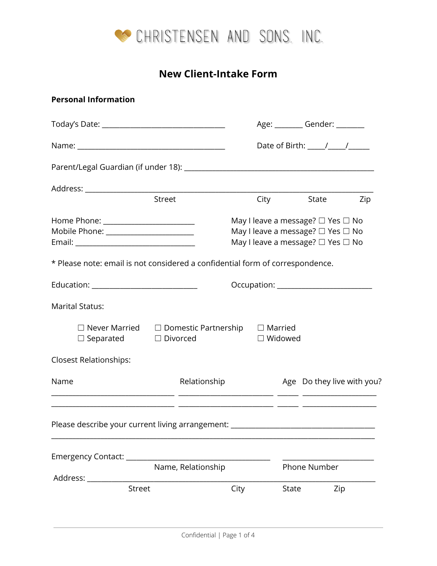

# **New Client-Intake Form**

# **Personal Information**

|                                                                                                     |                    |                                                                                                             |       | Age: _________ Gender: ________ |                                     |
|-----------------------------------------------------------------------------------------------------|--------------------|-------------------------------------------------------------------------------------------------------------|-------|---------------------------------|-------------------------------------|
|                                                                                                     |                    |                                                                                                             |       |                                 | Date of Birth: $\frac{1}{\sqrt{2}}$ |
|                                                                                                     |                    |                                                                                                             |       |                                 |                                     |
| Street                                                                                              |                    |                                                                                                             | City  | State                           | Zip                                 |
| Home Phone: _______________________<br>Mobile Phone: _______________________                        |                    | May I leave a message? □ Yes □ No<br>May I leave a message? □ Yes □ No<br>May I leave a message? □ Yes □ No |       |                                 |                                     |
| * Please note: email is not considered a confidential form of correspondence.                       |                    |                                                                                                             |       |                                 |                                     |
| Education: ______________________________                                                           |                    |                                                                                                             |       |                                 |                                     |
| <b>Marital Status:</b>                                                                              |                    |                                                                                                             |       |                                 |                                     |
| $\Box$ Never Married $\Box$ Domestic Partnership $\Box$ Married<br>$\Box$ Separated $\Box$ Divorced |                    | D Widowed                                                                                                   |       |                                 |                                     |
| <b>Closest Relationships:</b>                                                                       |                    |                                                                                                             |       |                                 |                                     |
| Name                                                                                                | Relationship       |                                                                                                             |       |                                 | Age Do they live with you?          |
| Please describe your current living arrangement: _______________________________                    |                    |                                                                                                             |       |                                 |                                     |
|                                                                                                     |                    |                                                                                                             |       |                                 |                                     |
|                                                                                                     | Name, Relationship |                                                                                                             |       | Phone Number                    |                                     |
| Street                                                                                              |                    | City                                                                                                        | State |                                 | Zip                                 |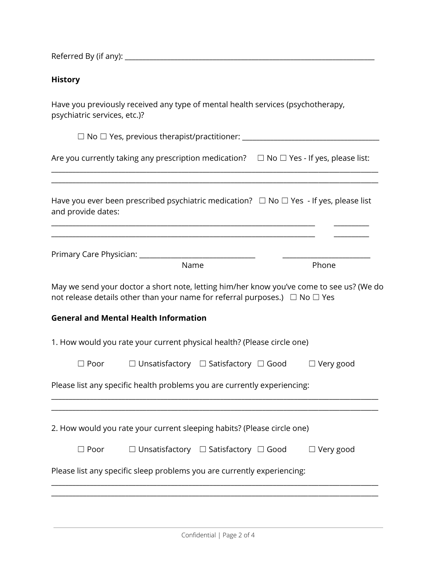Referred By (if any): \_\_\_\_\_\_\_\_\_\_\_\_\_\_\_\_\_\_\_\_\_\_\_\_\_\_\_\_\_\_\_\_\_\_\_\_\_\_\_\_\_\_\_\_\_\_\_\_\_\_\_\_\_\_\_\_\_\_\_\_\_\_\_\_\_\_\_\_\_\_\_

#### **History**

Have you previously received any type of mental health services (psychotherapy, psychiatric services, etc.)?

☐ No ☐ Yes, previous therapist/practitioner: \_\_\_\_\_\_\_\_\_\_\_\_\_\_\_\_\_\_\_\_\_\_\_\_\_\_\_\_\_\_\_\_\_\_\_\_\_\_\_

|  |  | Are you currently taking any prescription medication? | $\Box$ No $\Box$ Yes - If yes, please list: |  |
|--|--|-------------------------------------------------------|---------------------------------------------|--|
|  |  |                                                       |                                             |  |

\_\_\_\_\_\_\_\_\_\_\_\_\_\_\_\_\_\_\_\_\_\_\_\_\_\_\_\_\_\_\_\_\_\_\_\_\_\_\_\_\_\_\_\_\_\_\_\_\_\_\_\_\_\_\_\_\_\_\_\_\_\_\_\_\_\_\_\_\_\_\_\_\_\_\_\_\_\_\_\_\_\_\_\_\_\_\_\_\_\_\_\_\_ \_\_\_\_\_\_\_\_\_\_\_\_\_\_\_\_\_\_\_\_\_\_\_\_\_\_\_\_\_\_\_\_\_\_\_\_\_\_\_\_\_\_\_\_\_\_\_\_\_\_\_\_\_\_\_\_\_\_\_\_\_\_\_\_\_\_\_\_\_\_\_\_\_\_\_\_\_\_\_\_\_\_\_\_\_\_\_\_\_\_\_\_\_

| Have you ever been prescribed psychiatric medication? $\Box$ No $\Box$ Yes - If yes, please list |  |
|--------------------------------------------------------------------------------------------------|--|
| and provide dates:                                                                               |  |

\_\_\_\_\_\_\_\_\_\_\_\_\_\_\_\_\_\_\_\_\_\_\_\_\_\_\_\_\_\_\_\_\_\_\_\_\_\_\_\_\_\_\_\_\_\_\_\_\_\_\_\_\_\_\_\_\_\_\_\_\_\_\_\_\_\_\_\_\_\_\_\_\_\_\_ \_\_\_\_\_\_\_\_\_\_ \_\_\_\_\_\_\_\_\_\_\_\_\_\_\_\_\_\_\_\_\_\_\_\_\_\_\_\_\_\_\_\_\_\_\_\_\_\_\_\_\_\_\_\_\_\_\_\_\_\_\_\_\_\_\_\_\_\_\_\_\_\_\_\_\_\_\_\_\_\_\_\_\_\_\_ \_\_\_\_\_\_\_\_\_\_

| Primary Care Physician: |  |
|-------------------------|--|
|-------------------------|--|

| Phone |
|-------|
|       |

May we send your doctor a short note, letting him/her know you've come to see us? (We do not release details other than your name for referral purposes.)  $\Box$  No  $\Box$  Yes

#### **General and Mental Health Information**

|             |                                                       | 1. How would you rate your current physical health? (Please circle one) |  |                  |
|-------------|-------------------------------------------------------|-------------------------------------------------------------------------|--|------------------|
| $\Box$ Poor | $\Box$ Unsatisfactory $\Box$ Satisfactory $\Box$ Good |                                                                         |  | $\Box$ Very good |

Please list any specific health problems you are currently experiencing:

2. How would you rate your current sleeping habits? (Please circle one)

| $\Box$ Poor | $\Box$ Unsatisfactory $\Box$ Satisfactory $\Box$ Good |  | $\Box$ Very good |
|-------------|-------------------------------------------------------|--|------------------|
|             |                                                       |  |                  |

\_\_\_\_\_\_\_\_\_\_\_\_\_\_\_\_\_\_\_\_\_\_\_\_\_\_\_\_\_\_\_\_\_\_\_\_\_\_\_\_\_\_\_\_\_\_\_\_\_\_\_\_\_\_\_\_\_\_\_\_\_\_\_\_\_\_\_\_\_\_\_\_\_\_\_\_\_\_\_\_\_\_\_\_\_\_\_\_\_\_\_\_\_ \_\_\_\_\_\_\_\_\_\_\_\_\_\_\_\_\_\_\_\_\_\_\_\_\_\_\_\_\_\_\_\_\_\_\_\_\_\_\_\_\_\_\_\_\_\_\_\_\_\_\_\_\_\_\_\_\_\_\_\_\_\_\_\_\_\_\_\_\_\_\_\_\_\_\_\_\_\_\_\_\_\_\_\_\_\_\_\_\_\_\_\_\_

\_\_\_\_\_\_\_\_\_\_\_\_\_\_\_\_\_\_\_\_\_\_\_\_\_\_\_\_\_\_\_\_\_\_\_\_\_\_\_\_\_\_\_\_\_\_\_\_\_\_\_\_\_\_\_\_\_\_\_\_\_\_\_\_\_\_\_\_\_\_\_\_\_\_\_\_\_\_\_\_\_\_\_\_\_\_\_\_\_\_\_\_\_ \_\_\_\_\_\_\_\_\_\_\_\_\_\_\_\_\_\_\_\_\_\_\_\_\_\_\_\_\_\_\_\_\_\_\_\_\_\_\_\_\_\_\_\_\_\_\_\_\_\_\_\_\_\_\_\_\_\_\_\_\_\_\_\_\_\_\_\_\_\_\_\_\_\_\_\_\_\_\_\_\_\_\_\_\_\_\_\_\_\_\_\_\_

Please list any specific sleep problems you are currently experiencing: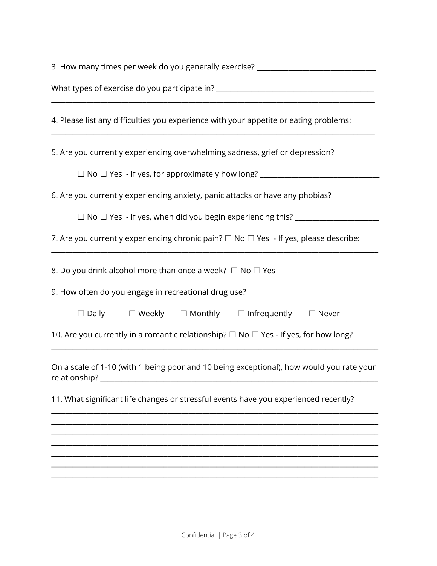| 3. How many times per week do you generally exercise? __________________________                          |  |  |  |  |
|-----------------------------------------------------------------------------------------------------------|--|--|--|--|
| What types of exercise do you participate in? __________________________________                          |  |  |  |  |
| 4. Please list any difficulties you experience with your appetite or eating problems:                     |  |  |  |  |
| 5. Are you currently experiencing overwhelming sadness, grief or depression?                              |  |  |  |  |
|                                                                                                           |  |  |  |  |
| 6. Are you currently experiencing anxiety, panic attacks or have any phobias?                             |  |  |  |  |
| $\Box$ No $\Box$ Yes - If yes, when did you begin experiencing this? ________                             |  |  |  |  |
| 7. Are you currently experiencing chronic pain? $\Box$ No $\Box$ Yes - If yes, please describe:           |  |  |  |  |
| 8. Do you drink alcohol more than once a week? $\Box$ No $\Box$ Yes                                       |  |  |  |  |
| 9. How often do you engage in recreational drug use?                                                      |  |  |  |  |
| $\square$ Daily $\square$ Weekly $\square$ Monthly $\square$ Infrequently $\square$ Never                 |  |  |  |  |
| 10. Are you currently in a romantic relationship? $\Box$ No $\Box$ Yes - If yes, for how long?            |  |  |  |  |
| On a scale of 1-10 (with 1 being poor and 10 being exceptional), how would you rate your<br>relationship? |  |  |  |  |
| 11. What significant life changes or stressful events have you experienced recently?                      |  |  |  |  |
|                                                                                                           |  |  |  |  |
|                                                                                                           |  |  |  |  |
|                                                                                                           |  |  |  |  |
|                                                                                                           |  |  |  |  |